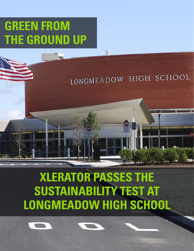# **GREEN FROM THE GROUND UP**

# LONGMEADOW HIGH SCHOOL

# **XLERATOR PASSES THE SUSTAINABILITY TEST AT LONGMEADOW HIGH SCHOOL**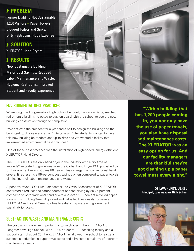#### **PROBLEM**

Former Building Not Sustainable, 1,200 Visitors  $+$  Paper Towels = Clogged Toilets and Sinks, Dirty Restrooms, Huge Expense

## **SOLUTION**

XLERATOR Hand Dryers

### **RESULTS**

New Sustainable Building, Major Cost Savings, Reduced Labor, Maintenance and Waste, Hygienic Restrooms, Improved Student and Faculty Experience



#### ENVIRONMENTAL BEST PRACTICES

When longtime Longmeadow High School Principal, Lawrence Berte, reached retirement eligibility, he opted to stay on board with the school to see the new building construction through to completion.

"We sat with the architect for a year and a half to design the building and the build itself took a year and a half," Berte says. "The students wanted to have this new building be modern and up-to-date and we wanted a facility that implemented environmental best practices."

One of those best practices was the installation of high-speed, energy-efficient XLERATOR Hand Dryers.

The XLERATOR is the only hand dryer in the industry with a dry time of 8 seconds<sup>\*</sup> — tested to guidelines from the Global Hand Dryer PCR published by UL Environment — and it uses 80 percent less energy than conventional hand dryers. It represents a 95-percent cost savings when compared to paper towels, eliminating their labor, maintenance and waste.

A peer reviewed (ISO 14040 standards) Life Cycle Assessment of XLERATOR confirmed it reduces the carbon footprint of hand drying by 50-75 percent compared to both traditional hand dryers and even 100-percent recycled paper towels. It is BuildingGreen Approved and helps facilities qualify for several LEED<sup>®</sup> v4 Credits and Green Globes to satisfy corporate and government sustainability goals.

#### SUBTRACTING WASTE AND MAINTENANCE COSTS

The cost savings was an important factor in choosing the XLERATOR for Longmeadow High School. With 1,000 students, 100 teaching faculty and a support staff of about 25, the XLERATOR has allowed the school to realize a substantial reduction in paper towel costs and eliminated a majority of restroom maintenance needs.

**"With a building that has 1,200 people coming in, you not only have the use of paper towels, you also have disposal and maintenance costs. The XLERATOR was an easy option for us. And our facility managers are thankful they're not cleaning up a paper towel mess every night."**

> **LAWRENCE BERTE Principal, Longmeadow High School**

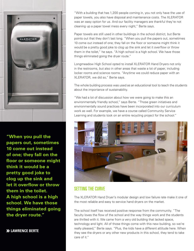

**"When you pull the papers out, sometimes 10 come out instead of one; they fall on the floor or someone might think it would be a pretty good joke to clog up the sink and let it overflow or throw them in the toilet. A high school is a high school. We have those things eliminated going the dryer route."**

**LAWRENCE BERTE**

"With a building that has 1,200 people coming in, you not only have the use of paper towels, you also have disposal and maintenance costs. The XLERATOR was an easy option for us. And our facility managers are thankful they're not cleaning up a paper towel mess every night," Berte says.

Paper towels are still used in other buildings in the school district, but Berte points out that they don't last long. "When you pull the papers out, sometimes 10 come out instead of one; they fall on the floor or someone might think it would be a pretty good joke to clog up the sink and let it overflow or throw them in the toilet," he says. "A high school is a high school. We have those things eliminated going the dryer route."

Longmeadow High School opted to install XLERATOR Hand Dryers not only in the restrooms, but also in other areas that waste a lot of paper, including locker rooms and science rooms. "Anytime we could reduce paper with an XLERATOR, we did so," Berte says.

The whole building process was used as an educational tool to teach the students about the importance of sustainability.

"We had a lot of discussion about how we were going to make this an environmentally friendly school," says Berte. "Those green initiatives and environmentally sound practices have been incorporated into our curriculum work as well. For example, we have a course called Community Service Learning and students took on an entire recycling project for the school."



### SETTING THE CURVE

The XLERATOR Hand Dryer's modular design and low failure rate make it one of the most reliable and easy to service hand dryers on the market.

The school itself has received positive response from the community. "The faculty loves the flow of the school and the way things work and the students are thrilled with it. We came from a very old building that lacked space, technology and light. All of those things come with this new building, so we're really pleased," Berte says. "Plus, the kids have a different attitude here. When they see the dryers or any other new products in this school, they tend to take care of it."